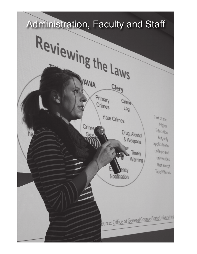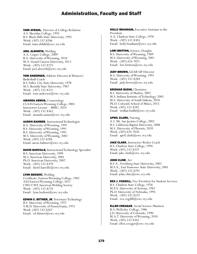TAMI AFDAHL, Director of College Relations A.S. Sheridan College, 1993 B.S. Black Hills State University, 1995 Work: (307) 532.8206 Email: tami.afdahl@ewc.wy.edu

JOEL ALWORTH, Welding A.A. Casper College, 2009 B.A. University of Wyoming, 2010 M.A. Grand Canyon University, 2013 Work: (307) 532.8275 Email: joel.alworth@ewc.wy.edu

TOM ANDERSEN, Athletic Director & Women's Basketball Coach B.S. Valley City State University, 1978 M.S. Bemidji State University, 1987 Work: (307) 532.8321 Email: tom.andersen@ewc.wy.edu

AMANDA ASMUS, Cosmetology CLAAS Eastern Wyoming College, 2005 Instructors License – IBMC, 2014 Work: (307) 532.8362 Email: amanda.asmus@ewc.wy.edu

AARON BAHMER, Instructional Technologist B.A. University of Wyoming, 1991 B.S. University of Wyoming, 1991 B.S. University of Wyoming, 1991 M.S. University of Wyoming, 2002 Work: (307) 532.8284 Email: aaron.bahmer@ewc.wy.edu

DAVID BANVILLE, Instructional Technology Specialist B.S. American University, 1999 M.S. American University, 2001 Ph.D. American University, 2007 Work: (307) 532.8379 Email: david.banville@ewc.wy.edu

LYNN BEDIENT, Welding Certificate, Eastern Wyoming College, 1982 AAS Eastern Wyoming College, 2011 CWI/CWE American Welding Society Work: (307) 532.8274 Email: lynn.bedient@ewc.wy.edu

EDWIN C. BITTNER, JR, Veterinary Technology B.S. University of Wyoming, 1971 V.M.D. University of Pennsylvania, 1975 Work: (307) 532.8267 Email: ed.bittner@ewc.wy.edu

HOLLY BRANHAM, Executive Assistant to the President A.A. Chadron State College, 1978 Work: (307) 532.8303 Email: holly.branham@ewc.wy.edu

LORI BRITTON, Science, Douglas B.S. University of Wyoming, 1989 M.S. University of Wyoming, 2001 Work: (307) 624.7021 Email: lori.britton@ewc.wy.edu

**JUDY BROWN, GEAR UP Director** B.A. University of Wyoming, 1991 Work: (307) 532.8269 Email: judy.brown@ewc.wy.edu

## **SRIDHAR BUDHI, Chemistry**

B.S. University of Madras, 2002 M.S. Indiana Institute of Technology, 2005 M.S. University of South Dakota, 2010 Ph.D. Colorado School of Mines, 2015 Work: (307) 532.8287 Email: sridhar.budhi@ewc.wy.edu

APRIL CLARK, Nursing A.S. Mt. San Jacinto College, 2002 B.S. California Baptist University, 2008 M.S. University of Phoenix, 2010 Work: (307) 624.7026 Email: april.clark@ewc.wy.edu

JAKE CLARK, Instructor/Rodeo Coach B.S. Chadron State College, 1994 Work: (307) 532.8337 Email: jake.clark@ewc.wy.edu

JOHN CLINE, Art

B.F. A., Frostburg State University, 2002 M.F.A., East Tennessee State University, 2005 Work: (307) 532.8291 Email: john.cline@ewc.wy.edu

REX J. COGDILL, Vice President for Student Services B.S. Chadron State College, 1976 M.P.A. University of Arizona, 1982 Ph.D. University of Nebraska, 1995 Work: (307) 532.8257 Email: rex.cogdill@ewc.wy.edu

ELLEN CREAGAR, Social Science/Business B.A. Wellesley College, 1986 J.D. University of Colorado, 1990 M.A.T. University of Wyoming, 2010 Work: (307) 532.8345 Email: ellen.creagar@ewc.wy.edu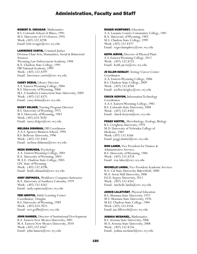#### ROBERT D. CREAGAR, Mathematics

B.S. Colorado School of Mines, 1991 M.S. University of CO-Denver, 1995 Work: (307) 532.8298 Email: bob.creagar@ewc.wy.edu

LAWRENCE CURTIS, Criminal Justice Division Chair Arts, Humanities, Social & Behavioral Sciences Wyoming Law Enforcement Academy, 1984 B.A. Chadron State College, 1991 FBI National Academy, 1999 Work: (307) 532.8297 Email: lawerence.curtis@ewc.wy.edu

CASEY DEBUS, Library Director A.S. Eastern Wyoming College, 2004 B.S. University of Wyoming, 2006 M.L.S.Southern Connecticut State University, 2009 Work: (307) 532.8375 Email: casey.debus@ewc.wy.edu

**SUZEY DELGER, Nursing Program Director** B.S. University of Wyoming, 1975 M.S. University of Wyoming, 1983 Work: (307) 624.7020 Email: suzey.delger@ewc.wy.edu

MELISSA DISHMAN, FBI Coordinator A.A.S. Spencer Business School, 1994 B.S. Bellevue University, 1996 Work: (307) 532.8365 Email: melissa.dishman@ewc.wy.edu

HEIDI EDMUNDS, Psychology A.A. Eastern Wyoming College, 2001 B.A. University of Wyoming, 2003 M.A.E. Chadron State College, 2005 LPC State of Wyoming Work: (307) 532.8296 Email: heidi.edmunds@ewc.wy.edu

ANDY ESPINOZA, Workforce Computer Instructor B.A. University of Southern Colorado, 1979 Work: (307) 532.8262 Email: andy.espinoza@ewc.wy.edu

TERI GRIFFIN, Adult Learning Center Coordinator, Douglas B.S. University of Wyoming, 1989 Work: (307) 624.7025 Email: teri.griffin@ewc.wy.edu

JOHN HANSEN, Director of Institutional Development B.A. Eastern New Mexico University, 2001 M.A. Eastern New Mexico University, 2010 Work: (307) 532.8367 Email: john.hansen@ewc.wy.edu

#### ROGER HUMPHREY, Education

A.A. Laramie County Community College, 1981 B.A. University of Wyoming, 1983 M.S. Chadron State College, 1999 Work: (307) 532.8377 Email: roger.humphrey@ewc.wy.edu

KEITH JARVIS, Director of Physical Plant A.S. Eastern Wyoming College, 2012 Work: (307) 532.8255 Email: keith.jarvis@ewc.wy.edu

JO ELLEN KEIGLEY, Testing/Career Center Coordinator A.A. Eastern Wyoming College, 2006 B.S. Chadron State College, 2009 Work: (307) 532.8288 Email: joellen.keigley@ewc.wy.edu

CHUCK KENYON, Information Technology Coordinator A.A.S. Eastern Wyoming College, 1985 B.S. Colorado State University, 2008 Work: (307) 532.8302 Email: chuck.kenyon@ewc.wy.edu

PEGGY KNITTEL, Microbiology, Zoology, Biology B.S. Creighton University, 1974 M.D. University of Nebraska College of Medicine, 1981 Work: (307) 532.8266 Email: peggy.knittel@ewc.wy.edu

RON LAHER, Vice President for Finance & Administrative Services B.S. University of Wyoming, 1984 Work: (307) 532.8218 Email: ron.laher@ewc.wy.edu

MICHELLE LANDA, Vice President Academic Services B.A. Cal State University Bakersfield, 2000 M.A. Seton Hall University, 2006 Ed.D. Argosy University, 2012 Work: (307) 532.8261 Email: michelle.landa@ewc.wy.edu

JANICE LILLETVEDT, Physical Education B.S. Montana State University, 1972 M.S. Montana State University, 1976 M.Ed. Chadron State College, 1984 Work: (307) 532.8358 Email: jan.lilletvedt@ewc.wy.edu

JOSHUA MCDANIEL, Mathematics B.S. Arizona State University, 2006 M.A. Arizona State University, 2008 Work: (307) 532.8256 Email: joshua.mcdaniel@ewc.wy.edu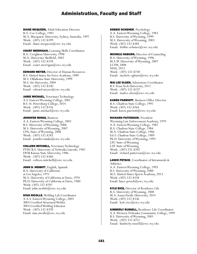## DIANE MCQUEEN, Adult Education Director

B.A. Coe College, 1982 M.A. Macquarie University, Sydney, Australia, 1997 Work: (307) 532.8399 Email: diane.mcqueen@ewc.wy.edu

COURT MERRIGAN, Learning Skills Coordinator B.A. Creighton University, 1998 M.A. University Sheffield, 2002 Work: (307) 532.8378 Email: court.merrigan@ewc.wy.edu

EDWARD MEYER, Director of Human Resources B.S. United States Air Force Academy, 1989 M.S. Oklahoma State University, 1999 M.S. Air University, 2004 Work: (307) 532.8330 Email: edward.meyer@ewc.wy.edu

JAMIE MICHAEL, Veterinary Technology A.S. Eastern Wyoming College, 2001 B.S. St. Petersburg College, 2014 Work: (307) 532.8376 Email: jamie.michael@ewc.wy.edu

**JENNIFER MINKS, Business** A.A. Eastern Wyoming College, 2003 B.S. University of Wyoming, 2006 M.S. University of Wyoming, 2007 CPA, State of Wyoming, 2008 Work: (307) 532.8285 Email: jennifer.minks@ewc.wy.edu

COLLEEN MITCHELL, Veterinary Technology PVM/B.S. University of Nebraska Lincoln, 1982 DVM Kansas State University, 1986 Work: (307) 532.8360 Email: colleen.mitchell@ewc.wy.edu

JOHN D. NESBITT, English, Spanish B.A. University of California at Los Angeles, 1971 M.A. University of California at Davis, 1974 Ph.D. University of California at Davis, 1980 Work: (307) 532.8292 Email: john.nesbitt@ewc.wy.edu

**STAN NICOLLS, Welding Lab Coordinator** A.A.S. Eastern Wyoming College, 2003 AWS Certified Structural Welder AWS Certified Welding Educator Work: (307) 532.8370 Email: stan.nicolls@ewc.wy.edu

### DEBBIE OCHSNER, Psychology

A.A. Eastern Wyoming College, 1983 B.S. University of Wyoming, 1999 M.S. University of Wyoming, 2003 Work: (307) 532.8384 Email: debbie.ochsner@ewc.wy.edu

MICHELE OGBURN, Director of Counseling B.A. University of Wyoming, 1996 M.S.W. University of Wyoming, 2007 LCSW, 2008 NHA, 2012 Work: (307) 532.8238 Email: michele.ogburn@ewc.wy.edu

MAI LEE OLSEN, Admissions Coordinator B.S. Texas Tech University, 2012 Work: (307) 532.8237 Email: mailee.olsen@ewc.wy.edu

KAREN PARRIOTT, Business Office Director B.A. Chadron State College, 1992 Work: (307) 532.8264 Email: karen.parriott@ewc.wy.edu

RICHARD PATTERSON, President Wyoming Law Enforcement Academy, 1979 A.A. Eastern Wyoming College, 1982 B.A. Chadron State College, 1984 M.A. Chadron State College, 1986 Ed.S. Chadron State College, 1989 Ph.D. University of Wyoming, 1992 LPC State of Wyoming LAT State of Wyoming Work: (307) 532.8202 Email: richard.patterson@ewc.wy.edu

LANCE PETSCH, Coordinator of Intramurals & Athletics A.A. Eastern Wyoming College, 1993 B.S. University of Wyoming, 2000 M.S. United States Sports Academy, 2013 Work: (307) 532.8338 Email: lance.petsch@ewc.wy.edu

KYLE RICE, Director of Residence Life B.A. University of Wyoming, 2008 M.A. Azusa Pacific University, 2014 Work: (307) 532.8336 Email: kyle.rice@ewc.wy.edu

KIMBERLY RUSSELL, Residence Life Coordinator A.A. Western Nebraska Community College, 1999 B.S. University of Wyoming, 2001 Work: (307) 532.8251 Email: kimberly.russell@ewc.wy.edu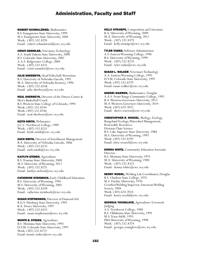ROBERT SCHMALZRIED, Mathematics B.S. Youngstown State University, 1999 M.S. Youngstown State University, 2004 Work: (307) 532.8295 Email: robert.schmalzried@ewc.wy.edu

CRISTI SEMMLER, Veterinary Technology A.S. South Dakota State University, 2000 B.S. Colorado State University, 2002 A.A.S. Ridgewater College, 2004 Work: (307) 532.8331 Email: cristi.semmler@ewc.wy.edu

**JULIE SHERBEYN, Head Volleyball/Retention** B.S. University of Nebraska Lincoln, 1992 M.A. University of Nebraska Kearney, 1996 Work: (307) 532.8248 Email: julie.sherbeyn@ewc.wy.edu

NEAL SHERBEYN, Director of the Fitness Center & Men's Basketball Coach B.S. Western State College of Colorado, 1994 Work: (307) 532.8244 Work: (307) 532.8246 Email: neal.sherbeyn@ewc.wy.edu

KEITH SMITH, Webmaster J.C.C. Northwest College, 1989 Work: (307) 532.8231 Email: keith.smith@ewc.wy.edu

**ZACH SMITH, Director of Enrollment Management** B.A. University of Nebraska-Lincoln, 2006 Work: (307) 532.8232 Email: zach.smith@ewc.wy.edu

KAITLYN STEBEN, Agriculture B.S. Truman State University, 2008 M.S. University of Wyoming, 2012 Work: (307) 532.8271 Email: kaitlyn.steben@ewc.wy.edu

CATHERINE STEINBOCK, Early Childhood Education B.S. University of Wyoming, 1994 M.S. University of Wyoming, 2001 Work: (307) 532.8339 Email: catherine.steinbock@ewc.wy.edu

**SUSAN STEPHENSON, Director of Financial Aid** B.G.S. Pittsburg State University, 1993 B.A. Drury University, 1997 Work: (307) 532.8325 Email: susan.stephenson@ewc.wy.edu

MONTE B. STOKES, Agriculture B.S. Montana State University, 1993 D.V.M. Colorado State University, 1997 Work: (307) 532.8273 Email: monte.stokes@ewc.wy.edu

KELLY STRAMPE, Composition and Literature B.A. University of Wyoming, 2009 M.A. University of Wyoming, 2011 Work: (307) 532.8373 Email: kelly.strampe@ewc.wy.edu

TYLER VASKO, Software Administrator A.S. Eastern Wyoming College, 1996 B.S. University of Wyoming, 1999 Work: (307) 532.8235 Email: tyler.vasko@ewc.wy.edu

**SUSAN L. WALKER, Veterinary Technology** A.A. Eastern Wyoming College, 1992 D.V.M. Colorado State University, 1997 Work: (307) 532.8279 Email: susan.walker@ewc.wy.edu

**SHERRI WARREN, Mathematics, Douglas** A.A.S. Front Range Community College, 1992 B.A. Western Governors University, 2013 M.A. Western Governors University, 2014 Work: (307) 624.7022 Email: sherri.warren@ewc.wy.edu

CHRISTOPHER R. WENZEL, Biology, Zoology, Rangeland Ecology, Watershed Management, Renewable Resources Division Chair Science B.S. Lake Superior State University, 1988 M.S. University of Wyoming, 1993 Work: (307) 532.8293 Email: chris.wenzel@ewc.wy.edu

**DONNA WHITE, Community Education Associate** Director B.S. Montana State University, 1975 M.A. University of Wyoming, 1988 Work: (307) 532.8323 Email: donna.white@ewc.wy.edu

**HENRY WOEHL, Welding Lab Coordinator, Douglas** B.S. Chadron State College, 1975 M.S. Purdue University, 1976 Certified Welding Inspector, American Welding Society, 2004 Work: (307) 624.7024 Email: henry.woehl@ewc.wy.edu

GEORGIA YOUNGLOVE, Agriculture/Livestock

Judging A.S. Northwest College, 1988 B.S. Oklahoma State University, 1991 M.S. Texas A&M, 1993 PhD University of Wyoming, 1998 Work: (307) 532.8374 Email: georgia.younglove@ewc.wy.edu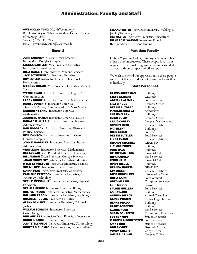### GWENDOLYN YUNG, Health Technology

B.S. University of Nebraska Medical Center College of Nursing, 1995 Work: (307) 532.8247 Email: gwendolyn.yung@ewc.wy.edu

## Emeriti

JOHN ANTHONY Assistant Dean Emeritus, Instruction, Douglas Campus LYNNEA BARTLETT Vice President Emeritus, Institutional Development **BILLY BATES** Dean Emeritus, Student Services JACK BOTTENFIELD President Emeritus ROY BUTLER Instructor Emeritus,Transport Refrigeration MARILYN COTANT Vice President Emeritus, Student Services WAYNE DEAHL Instructor Emeritus, English & Communication LARRY DODGE Instructor Emeritus, Mathematics DANIEL DOHERTY Instructor Emeritus, Theatre & Dance, Communication & Mass Media KATHERYNE EARL Instructor Emeritus, **Mathematics** JEANNE H. HAMER Instructor Emeritus, Music DONALD R. HILLS Instructor Emeritus, Business Administration **DON HODGSON** Instructor Emeritus, History & Political Science KEN JOHNSON Instructor Emeritus, Business, Douglas Campus JOHN E. KAPPELER Instructor Emeritus, Business Administration **GERI LEWIS** Instructor Emeritus, Mathematics DEE LUDWIG Vice President Emeritus, Learning **BILL MARSH** Dean Emeritus, College Services JANAN MCCREERY Instructor Emeritus, Education MELISSA MEEBOER Instructor Emeritus, Business **SUE MILNER** Instructor Emeritus, Art LORNA PEHL Instructor Emeritus, Chemistry PATTI SUE PETERSON Instructor Emeritus, Veterinary Technology VERL E. PETSCH, JR. Instructor Emeritus, Physical Education VERLE J. PUNKE Instructor Emeritus, Biology CHERYL RABOIN Instructor Emeritus, Mathematics ROLLAND RABOIN Instructor Emeritus, Psychology CHARLES ROGERS President Emeritus **GLENN SCHLEVE** Instructor Emeritus, Criminal **Justice** WILLIAM SCHMIDT Instructor Emeritus, Cosmetology **PHIL SHELLER** Associate Dean Emeritus, Instruction GUIDO E. SMITH President Emeritus JUDY STELLPFLUG Instructor Emeritus, Cosmetology ROBERT C. THOMAS Dean Emeritus, Business Affairs

LELAND VETTER Instructor Emeritus, Welding & Joining Technology TIM WALTER Instructor Emeritus, Agriculture RICHARD E. WATSON Instructor Emeritus, Refrigeration & Air Conditioning

## Part-time Faculty

Eastern Wyoming College employs a large number of part-time instructors. These people fortify our regular instructional program in day and extended classes, both on-campus and off-campus.

We wish to extend our appreciation to these people and regret that space does not permit us to list them individually.

## Staff Personnel

**TRAVIS ACKERMAN** Buildings<br>**STEVE AKRIGHT** Grounds **STEVE AKRIGHT** Grounds<br>**ADRIANA ALEMAN** Food Services **ADRIANA ALEMAN** LISA BRIGGS Business Office **DEBBIE BUTORAC** Buildings **MARISOL CHAVEZ** Admissions **CURTIS CLARK** Buildings **TRISH COLBY** Business Office<br> **CRAIG CORLEY** Douglas Mainte **SONDRA DENT** College Relations **PAT EILERT** Buildings **DIXIE ELDER** Food Services **DEBBIE EUTSLER** Food Services **LINDA EVANS** College Relations<br> **BRANDY GRAYBILL** GEAR UP **BRANDY GRAYBILL** J. R. GUTIERREZ Buildings **JOHN HALE** Buildings<br> **KELCIE HAMILTON** Financial Aid **KELCIE HAMILTON** RICK HAROLD Food Services TERRI HAUF Financial Aid **CINDY HIEGEL** Buildings **BRANDY HOREJS GEAR UP KIM JONES** College Relations<br>**DIXIE KROENLEIN** Information Center HOLLY LARA Development GREG MARTIN Computer Services LORI MOORE Payroll LAURIE MUELLER Food Services **ASHLY NASH Buildings**<br>**AUTUMN PIERCE** Animal C KAREN POSTEN Counseling/Outreach **HENRY PRADO** Buildings **TRACY RODGERS** Buildings **ELAINE RUSH** Food Services **SUSAN SCHAEFER** Community Education<br>**SUE SCHMIDT** Student Records MARCELLA SCHWEITZER Food Services **AMY SMITH** Student Records<br> **DON SNYDER** Grounds Assistan **VONDA SOESTER** Copy Center JAMIE SULLIVAN Douglas Office

Douglas Maintenance Information Center Animal Caretaker Student Records Grounds Assistant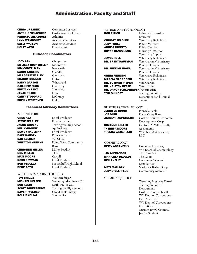**ANTONIO VELAZQUEZ** Custodian/Bus Driver<br>**PATRICIA VELAZOUEZ** Athletics **PATRICIA VELAZQUEZ** Athletics<br> **LYNN WAMBOLDT** Academic Services LYNN WAMBOLDT **SALLY WATSON** Academic Services **HOLLY WEST** Financial Aid

**CHRIS URBANEK** Computer Services

#### Outreach Coordinators

JODY ASH Chugwater MELISSA BUCKMILLER Moorcroft **KIM CONZELMAN** Newcastle<br>**SANDY ENGLING** Glendo **SANDY ENGLING** MARGARET FARLEY Glenrock **BRANDY DONNER** Upton<br>**KATHY GARTON** Wheatland **KATHY GARTON** GAIL HEIMBUCK Guernsey **BRITTANY LENZ** Sundance<br> **JANAE POAGE** Lusk **JANAE POAGE** Lusk<br>**CATHY STODDARD** LaGrange **CATHY STODDARD** LaGran<br>**SHELLY WESTOVER** Hulett **SHELLY WESTOVER** 

#### Technical Advisory Committees

**AGRICULTURE** 

GREG ASA Local Producer **STEVE FEAGLER** First State Bank<br> **JASON GROENE** Torrington High KELLY GROENE Ag Business **DEWEY HAGEMAN** Local Producer<br> **DAVE HANSEN** Pinnacle Bank DAVE HANSEN DAN KEENER WESTCO

**CHRISTINE MILLER** Miller Feedlot **RON MILLER** TDS<br>**MATT MOORE** Cargill **MATT MOORE ROSS NEWMAN** Local Producer<br> **BOB PEDULLA** Scottsbluff High

Torrington High School **WHEATON KREMKE** Points West Community Bank **BOB PEDULLA** Scottsbluff High School<br>**DIXIE ROTH** Local Producer Local Producer

# WELDING/MACHINE TOOLING<br> **TOM BRIGGS** Western

**BOB KLEIN** Mathison Tri Gas **DAVE TRAVERSO** Cloud Peak Energy ROLLIE YOUNG Source Gas

Western Sugar MICHAEL HELZER Wyoming Machinery Co. **SCOTT SODERSTROM** Torrington High School

#### VETERINARY TECHNOLOGY

| ROB EIRICH      |
|-----------------|
| CHRISTY FEAGLER |
| JUDY FOGLE      |
| ANNE GARDETTO   |
| BRYAN HENDERSON |
|                 |

## **GRETA MEHLING** Veterinary Technician<br>**MARCIA NAGRODSKI** Veterinary Technician DR. SOMMER PIEPER Veterinarian DR. KRISTEN REESE Veterinarian DR. DARCY SCHLOTHAUER Veterinarian **TERI SHINOST** Torrington Police

Industry/Extension<br>Educator Veterinary Technician Public Member Public Member **BRYAN HENDERSON** Industry/Patterson<br>Veterinary Supply<br>JEWEL HULL Veterinary Technicia Veterinary Technician **DR. BRENT KAUFMAN** Veterinarian/Veterinary<br>Practice Owner<br>**DR. MIKE MEEBOER** Veterinarian/Veterinary Veterinarian/Veterinary<br>Practice Owner Veterinary Technician Department and Animal

Shelter

#### BUSINESS & TECHNOLOGY

| JENNIFEK BUVIM     |  |
|--------------------|--|
| JOE GUTH           |  |
| ASHLEY HARPSTREITH |  |
|                    |  |
| SUZANNE KELLER     |  |
| -                  |  |

Pinnacle Bank Platte Valley Bank Goshen County Economic Development Corp. Century 21 Valley Realty **THERESA MOORE** Accountant<br>**TRENDA WEISSHAAR** Weisshaar & Weisshaar & Associates, LLC

## COSMETOLOGY

**BETTY ABERNETHY** Executive Director,

**JAN ALEXANDER** The Class *I*<br>**MARICELA DEOLLOS** The Roots **MARICELA DEOLLOS** KELLI KELLY Consumer Sales and

CRIMINAL JUSTICE

 WY Board of Cosmetology **Distribution MATT MATLOCK** Matlock's Barber Shop **JUDY STELLPFLUG** Community Member

 Wyoming Highway Patrol Torrington Police Department Goshen County Sheriff<br>WY Dept of Corrections-WY Dept of Corrections-<br> Field Services<br>WY Dept of Corrections-<br> Institutions<br>Current EWC Criminal<br>Justice Student